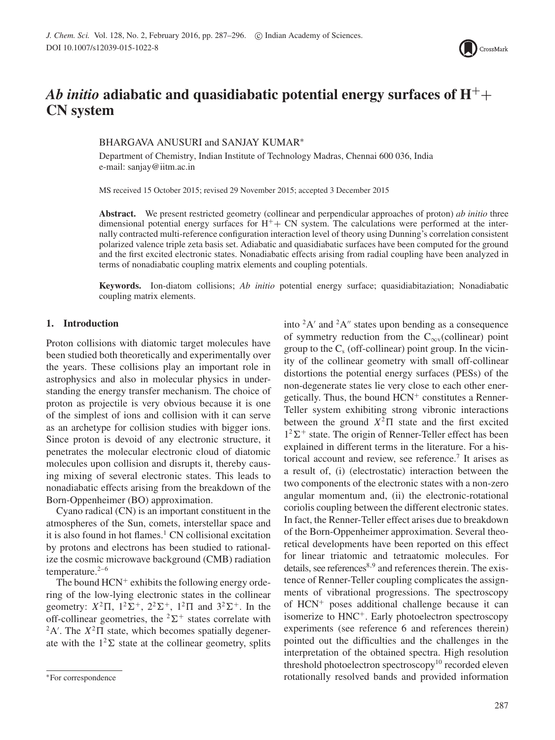

# *Ab initio* **adiabatic and quasidiabatic potential energy surfaces of H**++ **CN system**

# BHARGAVA ANUSURI and SANJAY KUMAR∗

Department of Chemistry, Indian Institute of Technology Madras, Chennai 600 036, India e-mail: sanjay@iitm.ac.in

MS received 15 October 2015; revised 29 November 2015; accepted 3 December 2015

**Abstract.** We present restricted geometry (collinear and perpendicular approaches of proton) *ab initio* three dimensional potential energy surfaces for  $H^+$  CN system. The calculations were performed at the internally contracted multi-reference configuration interaction level of theory using Dunning's correlation consistent polarized valence triple zeta basis set. Adiabatic and quasidiabatic surfaces have been computed for the ground and the first excited electronic states. Nonadiabatic effects arising from radial coupling have been analyzed in terms of nonadiabatic coupling matrix elements and coupling potentials.

**Keywords.** Ion-diatom collisions; *Ab initio* potential energy surface; quasidiabitaziation; Nonadiabatic coupling matrix elements.

# **1. Introduction**

Proton collisions with diatomic target molecules have been studied both theoretically and experimentally over the years. These collisions play an important role in astrophysics and also in molecular physics in understanding the energy transfer mechanism. The choice of proton as projectile is very obvious because it is one of the simplest of ions and collision with it can serve as an archetype for collision studies with bigger ions. Since proton is devoid of any electronic structure, it penetrates the molecular electronic cloud of diatomic molecules upon collision and disrupts it, thereby causing mixing of several electronic states. This leads to nonadiabatic effects arising from the breakdown of the Born-Oppenheimer (BO) approximation.

Cyano radical (CN) is an important constituent in the atmospheres of the Sun, comets, interstellar space and it is also found in hot flames.<sup>1</sup> CN collisional excitation by protons and electrons has been studied to rationalize the cosmic microwave background (CMB) radiation temperature.<sup>2-6</sup>

The bound  $HCN^+$  exhibits the following energy ordering of the low-lying electronic states in the collinear geometry:  $X^2\Pi$ ,  $1^2\Sigma^+$ ,  $2^2\Sigma^+$ ,  $1^2\Pi$  and  $3^2\Sigma^+$ . In the off-collinear geometries, the  ${}^{2}\Sigma^{+}$  states correlate with  $2A'$ . The  $X^2\Pi$  state, which becomes spatially degenerate with the  $1<sup>2</sup>\Sigma$  state at the collinear geometry, splits into  ${}^2A'$  and  ${}^2A''$  states upon bending as a consequence of symmetry reduction from the  $C_{\text{ov}}$ (collinear) point group to the  $C_s$  (off-collinear) point group. In the vicinity of the collinear geometry with small off-collinear distortions the potential energy surfaces (PESs) of the non-degenerate states lie very close to each other energetically. Thus, the bound  $HCN<sup>+</sup>$  constitutes a Renner-Teller system exhibiting strong vibronic interactions between the ground  $X^2\Pi$  state and the first excited  $1^2\Sigma^+$  state. The origin of Renner-Teller effect has been explained in different terms in the literature. For a historical account and review, see reference.<sup>7</sup> It arises as a result of, (i) (electrostatic) interaction between the two components of the electronic states with a non-zero angular momentum and, (ii) the electronic-rotational coriolis coupling between the different electronic states. In fact, the Renner-Teller effect arises due to breakdown of the Born-Oppenheimer approximation. Several theoretical developments have been reported on this effect for linear triatomic and tetraatomic molecules. For details, see references<sup>8,9</sup> and references therein. The existence of Renner-Teller coupling complicates the assignments of vibrational progressions. The spectroscopy of HCN<sup>+</sup> poses additional challenge because it can isomerize to HNC<sup>+</sup>. Early photoelectron spectroscopy experiments (see reference 6 and references therein) pointed out the difficulties and the challenges in the interpretation of the obtained spectra. High resolution threshold photoelectron spectroscopy<sup>10</sup> recorded eleven rotationally resolved bands and provided information

<sup>∗</sup>For correspondence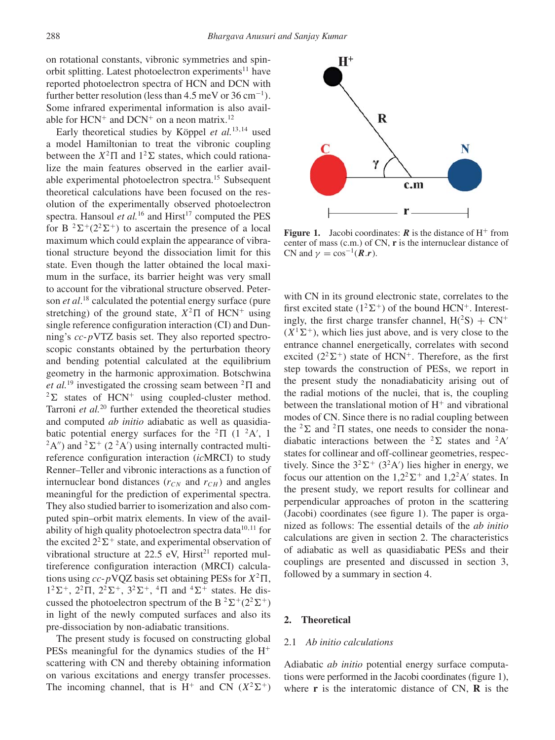on rotational constants, vibronic symmetries and spinorbit splitting. Latest photoelectron experiments<sup>11</sup> have reported photoelectron spectra of HCN and DCN with further better resolution (less than 4.5 meV or 36 cm−<sup>1</sup>*)*. Some infrared experimental information is also available for  $HCN<sup>+</sup>$  and  $DCN<sup>+</sup>$  on a neon matrix.<sup>12</sup>

Early theoretical studies by Köppel *et al.*13,14 used a model Hamiltonian to treat the vibronic coupling between the  $X^2\Pi$  and  $1^2\Sigma$  states, which could rationalize the main features observed in the earlier available experimental photoelectron spectra.15 Subsequent theoretical calculations have been focused on the resolution of the experimentally observed photoelectron spectra. Hansoul *et al.*<sup>16</sup> and Hirst<sup>17</sup> computed the PES for B  ${}^{2}\Sigma^{+}(2{}^{2}\Sigma^{+})$  to ascertain the presence of a local maximum which could explain the appearance of vibrational structure beyond the dissociation limit for this state. Even though the latter obtained the local maximum in the surface, its barrier height was very small to account for the vibrational structure observed. Peterson *et al*. <sup>18</sup> calculated the potential energy surface (pure stretching) of the ground state,  $X^2\Pi$  of HCN<sup>+</sup> using single reference configuration interaction (CI) and Dunning's *cc*-*p*VTZ basis set. They also reported spectroscopic constants obtained by the perturbation theory and bending potential calculated at the equilibrium geometry in the harmonic approximation. Botschwina *et al.*<sup>19</sup> investigated the crossing seam between  ${}^{2}$  $\Pi$  and  $2\Sigma$  states of HCN<sup>+</sup> using coupled-cluster method. Tarroni *et al.*<sup>20</sup> further extended the theoretical studies and computed *ab initio* adiabatic as well as quasidiabatic potential energy surfaces for the  ${}^{2}\Pi$  (1  ${}^{2}A'$ , 1  ${}^{2}A''$ ) and  ${}^{2}\Sigma^{+}$  (2  ${}^{2}A'$ ) using internally contracted multireference configuration interaction (*ic*MRCI) to study Renner–Teller and vibronic interactions as a function of internuclear bond distances  $(r_{CN}$  and  $r_{CH}$ ) and angles meaningful for the prediction of experimental spectra. They also studied barrier to isomerization and also computed spin–orbit matrix elements. In view of the availability of high quality photoelectron spectra data<sup>10,11</sup> for the excited  $2^2\Sigma^+$  state, and experimental observation of vibrational structure at  $22.5$  eV, Hirst<sup>21</sup> reported multireference configuration interaction (MRCI) calculations using  $cc$ - $p$ VQZ basis set obtaining PESs for  $X^2\Pi$ ,  $1^2\Sigma^+$ ,  $2^2\Pi$ ,  $2^2\Sigma^+$ ,  $3^2\Sigma^+$ ,  $4\Pi$  and  $4\Sigma^+$  states. He discussed the photoelectron spectrum of the B<sup>2</sup> $\Sigma^+(2^2\Sigma^+)$ in light of the newly computed surfaces and also its pre-dissociation by non-adiabatic transitions.

The present study is focused on constructing global PESs meaningful for the dynamics studies of the  $H^+$ scattering with CN and thereby obtaining information on various excitations and energy transfer processes. The incoming channel, that is  $H^+$  and CN  $(X^2\Sigma^+)$ 



**Figure 1.** Jacobi coordinates:  $\vec{R}$  is the distance of  $H^+$  from center of mass (c.m.) of CN, **r** is the internuclear distance of CN and  $\gamma = \cos^{-1}(R \cdot r)$ .

with CN in its ground electronic state, correlates to the first excited state  $(1^2\Sigma^+)$  of the bound HCN<sup>+</sup>. Interestingly, the first charge transfer channel,  $H(^{2}S) + CN^{+}$  $(X<sup>1</sup>\Sigma<sup>+</sup>)$ , which lies just above, and is very close to the entrance channel energetically, correlates with second excited  $(2^2\Sigma^+)$  state of HCN<sup>+</sup>. Therefore, as the first step towards the construction of PESs, we report in the present study the nonadiabaticity arising out of the radial motions of the nuclei, that is, the coupling between the translational motion of  $H<sup>+</sup>$  and vibrational modes of CN. Since there is no radial coupling between the  ${}^{2}\Sigma$  and  ${}^{2}\Pi$  states, one needs to consider the nonadiabatic interactions between the <sup>2</sup> $\Sigma$  states and <sup>2</sup>A' states for collinear and off-collinear geometries, respectively. Since the  $3^2\Sigma^+$  (3<sup>2</sup>A') lies higher in energy, we focus our attention on the  $1,2^2\Sigma^+$  and  $1,2^2A'$  states. In the present study, we report results for collinear and perpendicular approaches of proton in the scattering (Jacobi) coordinates (see figure 1). The paper is organized as follows: The essential details of the *ab initio* calculations are given in section 2. The characteristics of adiabatic as well as quasidiabatic PESs and their couplings are presented and discussed in section 3, followed by a summary in section 4.

# **2. Theoretical**

# 2.1 *Ab initio calculations*

Adiabatic *ab initio* potential energy surface computations were performed in the Jacobi coordinates (figure 1), where **r** is the interatomic distance of CN, **R** is the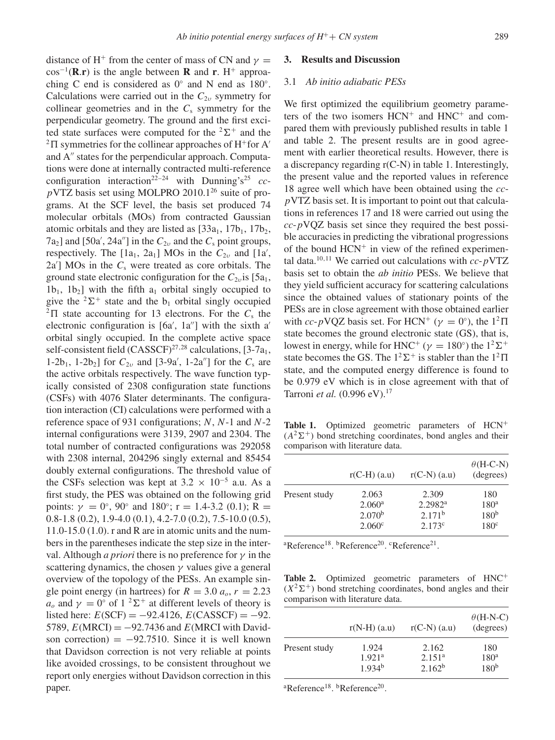distance of H<sup>+</sup> from the center of mass of CN and  $\gamma$  =  $\cos^{-1}(\mathbf{R}.\mathbf{r})$  is the angle between **R** and **r**. H<sup>+</sup> approaching C end is considered as  $0°$  and N end as  $180°$ . Calculations were carried out in the  $C_{2\nu}$  symmetry for collinear geometries and in the  $C_s$  symmetry for the perpendicular geometry. The ground and the first excited state surfaces were computed for the  ${}^{2}\Sigma^{+}$  and the  ${}^{2}\Pi$  symmetries for the collinear approaches of H<sup>+</sup>for A<sup> $'$ </sup> and  $A''$  states for the perpendicular approach. Computations were done at internally contracted multi-reference configuration interaction<sup>22–24</sup> with Dunning's<sup>25</sup> *ccp*VTZ basis set using MOLPRO 2010.1<sup>26</sup> suite of programs. At the SCF level, the basis set produced 74 molecular orbitals (MOs) from contracted Gaussian atomic orbitals and they are listed as  $[33a_1, 17b_1, 17b_2,$  $7a_2$ ] and [50a', 24a''] in the  $C_{2\nu}$  and the  $C_s$  point groups, respectively. The  $[1a_1, 2a_1]$  MOs in the  $C_{2\nu}$  and  $[1a',$ 2a ] MOs in the *C*<sup>s</sup> were treated as core orbitals. The ground state electronic configuration for the  $C_{2\nu}$  is [5a<sub>1</sub>,  $1b_1$ ,  $1b_2$ ] with the fifth  $a_1$  orbital singly occupied to give the  ${}^{2}\Sigma^{+}$  state and the b<sub>1</sub> orbital singly occupied  ${}^{2}\Pi$  state accounting for 13 electrons. For the  $C_{s}$  the electronic configuration is  $[6a, 1a'']$  with the sixth a' orbital singly occupied. In the complete active space self-consistent field  $(CASSCF)^{27,28}$  calculations,  $[3-7a<sub>1</sub>,$ 1-2b<sub>1</sub>, 1-2b<sub>2</sub>] for *C*<sub>2*υ*</sub> and [3-9a', 1-2a''] for the *C*<sub>s</sub> are the active orbitals respectively. The wave function typically consisted of 2308 configuration state functions (CSFs) with 4076 Slater determinants. The configuration interaction (CI) calculations were performed with a reference space of 931 configurations; *N*, *N*-1 and *N*-2 internal configurations were 3139, 2907 and 2304. The total number of contracted configurations was 292058 with 2308 internal, 204296 singly external and 85454 doubly external configurations. The threshold value of the CSFs selection was kept at  $3.2 \times 10^{-5}$  a.u. As a first study, the PES was obtained on the following grid points:  $\gamma = 0^{\circ}$ , 90° and 180°; r = 1.4-3.2 (0.1); R = 0.8-1.8 (0.2), 1.9-4.0 (0.1), 4.2-7.0 (0.2), 7.5-10.0 (0.5), 11.0-15.0 (1.0). r and R are in atomic units and the numbers in the parentheses indicate the step size in the interval. Although *a priori* there is no preference for *γ* in the scattering dynamics, the chosen *γ* values give a general overview of the topology of the PESs. An example single point energy (in hartrees) for  $R = 3.0$   $a<sub>o</sub>$ ,  $r = 2.23$ *a<sub>o</sub>* and  $\gamma = 0^\circ$  of  $1^2\Sigma^+$  at different levels of theory is listed here:  $E(SCF) = -92.4126$ ,  $E(CASSCF) = -92$ . 5789,  $E(MRCI) = -92.7436$  and  $E(MRCI)$  with Davidson correction) =  $-92.7510$ . Since it is well known that Davidson correction is not very reliable at points like avoided crossings, to be consistent throughout we report only energies without Davidson correction in this paper.

#### **3. Results and Discussion**

#### 3.1 *Ab initio adiabatic PESs*

We first optimized the equilibrium geometry parameters of the two isomers  $HCN<sup>+</sup>$  and  $HNC<sup>+</sup>$  and compared them with previously published results in table 1 and table 2. The present results are in good agreement with earlier theoretical results. However, there is a discrepancy regarding r(C-N) in table 1. Interestingly, the present value and the reported values in reference 18 agree well which have been obtained using the *ccp*VTZ basis set. It is important to point out that calculations in references 17 and 18 were carried out using the *cc*-*p*VQZ basis set since they required the best possible accuracies in predicting the vibrational progressions of the bound  $HCN<sup>+</sup>$  in view of the refined experimental data.<sup>10,11</sup> We carried out calculations with  $cc$ - $p$ VTZ basis set to obtain the *ab initio* PESs. We believe that they yield sufficient accuracy for scattering calculations since the obtained values of stationary points of the PESs are in close agreement with those obtained earlier with *cc*-*p*VQZ basis set. For HCN<sup>+</sup> ( $\gamma = 0^{\circ}$ ), the  $1^2\Pi$ state becomes the ground electronic state (GS), that is, lowest in energy, while for HNC<sup>+</sup> ( $\gamma = 180^{\circ}$ ) the  $1^2\Sigma^+$ state becomes the GS. The  $1^2\Sigma^+$  is stabler than the  $1^2\Pi$ state, and the computed energy difference is found to be 0.979 eV which is in close agreement with that of Tarroni *et al.* (0.996 eV).<sup>17</sup>

Table 1. Optimized geometric parameters of HCN<sup>+</sup>  $(A<sup>2</sup>\Sigma<sup>+</sup>)$  bond stretching coordinates, bond angles and their comparison with literature data.

|               | $r(C-H)$ (a.u)     | $r(C-N)$ (a.u)      | $\theta$ (H-C-N)<br>(degrees) |
|---------------|--------------------|---------------------|-------------------------------|
| Present study | 2.063              | 2.309               | 180                           |
|               | 2.060 <sup>a</sup> | 2.2982 <sup>a</sup> | 180 <sup>a</sup>              |
|               | 2.070 <sup>b</sup> | 2.171 <sup>b</sup>  | 180 <sup>b</sup>              |
|               | 2.060 <sup>c</sup> | 2.173c              | 180 <sup>c</sup>              |

<sup>a</sup>Reference<sup>18</sup>. <sup>b</sup>Reference<sup>20</sup>. <sup>c</sup>Reference<sup>21</sup>.

Table 2. Optimized geometric parameters of HNC<sup>+</sup>  $(X^2\Sigma^+)$  bond stretching coordinates, bond angles and their comparison with literature data.

|               | $r(N-H)$ (a.u)     | $r(C-N)$ (a.u)     | $\theta$ (H-N-C)<br>(degrees) |
|---------------|--------------------|--------------------|-------------------------------|
| Present study | 1.924              | 2.162              | 180                           |
|               | 1.921 <sup>a</sup> | 2.151 <sup>a</sup> | 180 <sup>a</sup>              |
|               | $1.934^{b}$        | $2.162^{b}$        | 180 <sup>b</sup>              |

<sup>a</sup>Reference<sup>18</sup>. <sup>b</sup>Reference<sup>20</sup>.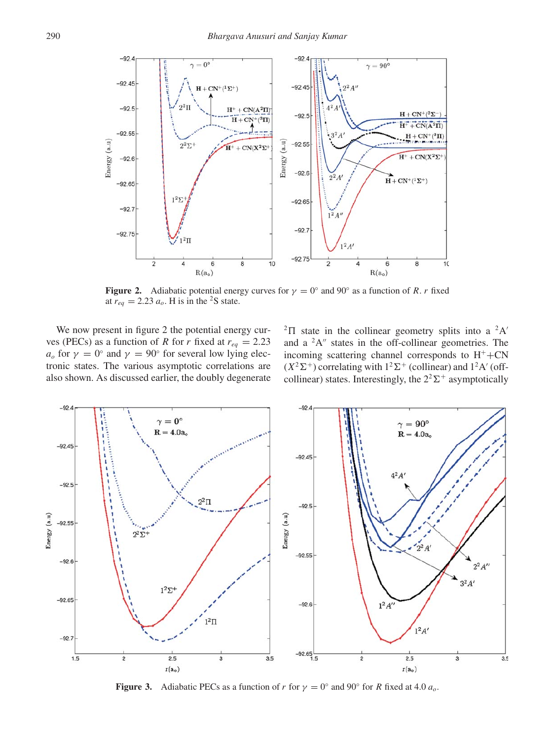

**Figure 2.** Adiabatic potential energy curves for  $\gamma = 0^\circ$  and 90° as a function of *R. r* fixed at  $r_{eq} = 2.23 a_o$ . H is in the <sup>2</sup>S state.

We now present in figure 2 the potential energy curves (PECs) as a function of *R* for *r* fixed at  $r_{eq} = 2.23$  $a<sub>o</sub>$  for  $\gamma = 0<sup>°</sup>$  and  $\gamma = 90<sup>°</sup>$  for several low lying electronic states. The various asymptotic correlations are also shown. As discussed earlier, the doubly degenerate

 ${}^{2}\Pi$  state in the collinear geometry splits into a  ${}^{2}A'$ and a  ${}^{2}A''$  states in the off-collinear geometries. The incoming scattering channel corresponds to  $H^+$ +CN  $(X^2\Sigma^+)$  correlating with  $1^2\Sigma^+$  (collinear) and  $1^2A'$  (offcollinear) states. Interestingly, the  $2^2\Sigma^+$  asymptotically



**Figure 3.** Adiabatic PECs as a function of *r* for  $\gamma = 0^\circ$  and 90° for *R* fixed at 4.0  $a_o$ .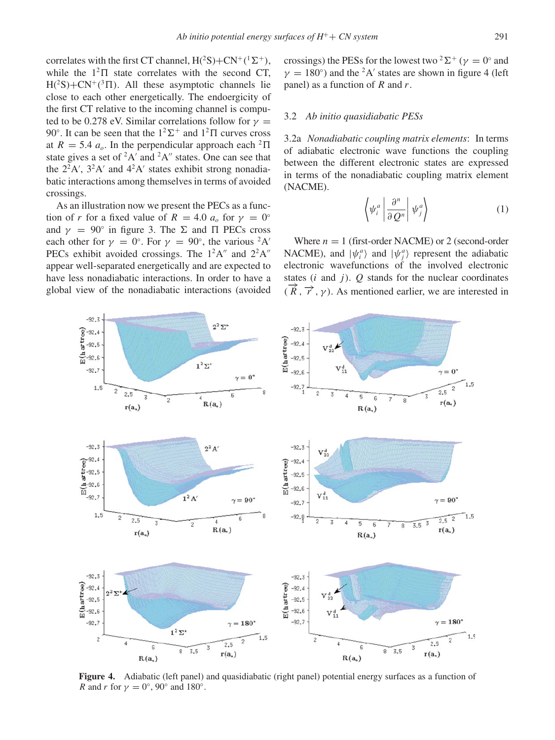correlates with the first CT channel,  $H(^{2}S) + CN^{+}(^{1}\Sigma^{+})$ , while the  $1^2\Pi$  state correlates with the second CT,  $H(^{2}S) + CN^{+}(^{3} \Pi)$ . All these asymptotic channels lie close to each other energetically. The endoergicity of the first CT relative to the incoming channel is computed to be 0.278 eV. Similar correlations follow for  $\gamma$ 90 $^{\circ}$ . It can be seen that the  $1^2\Sigma^+$  and  $1^2\Pi$  curves cross at  $R = 5.4$   $a_o$ . In the perpendicular approach each <sup>2</sup> $\Pi$ state gives a set of  ${}^{2}A'$  and  ${}^{2}A''$  states. One can see that the  $2^2A'$ ,  $3^2A'$  and  $4^2A'$  states exhibit strong nonadiabatic interactions among themselves in terms of avoided

As an illustration now we present the PECs as a function of *r* for a fixed value of  $R = 4.0$   $a<sub>o</sub>$  for  $\gamma = 0^\circ$ and  $\gamma = 90^\circ$  in figure 3. The  $\Sigma$  and  $\Pi$  PECs cross each other for  $\gamma = 0^\circ$ . For  $\gamma = 90^\circ$ , the various <sup>2</sup>A' PECs exhibit avoided crossings. The  $1^2A''$  and  $2^2A''$ appear well-separated energetically and are expected to have less nonadiabatic interactions. In order to have a global view of the nonadiabatic interactions (avoided

crossings.

# 3.2 *Ab initio quasidiabatic PESs*

3.2a *Nonadiabatic coupling matrix elements*: In terms of adiabatic electronic wave functions the coupling between the different electronic states are expressed in terms of the nonadiabatic coupling matrix element (NACME).

$$
\left\langle \psi_i^a \left| \frac{\partial^n}{\partial Q^n} \right| \psi_j^a \right\rangle \tag{1}
$$

Where  $n = 1$  (first-order NACME) or 2 (second-order NACME), and  $|\psi_i^a\rangle$  and  $|\psi_j^a\rangle$  represent the adiabatic electronic wavefunctions of the involved electronic states  $(i \text{ and } j)$ .  $Q$  stands for the nuclear coordinates  $(\overrightarrow{R}, \overrightarrow{r}, \gamma)$ . As mentioned earlier, we are interested in



**Figure 4.** Adiabatic (left panel) and quasidiabatic (right panel) potential energy surfaces as a function of *R* and *r* for  $\gamma = 0^\circ$ , 90° and 180°.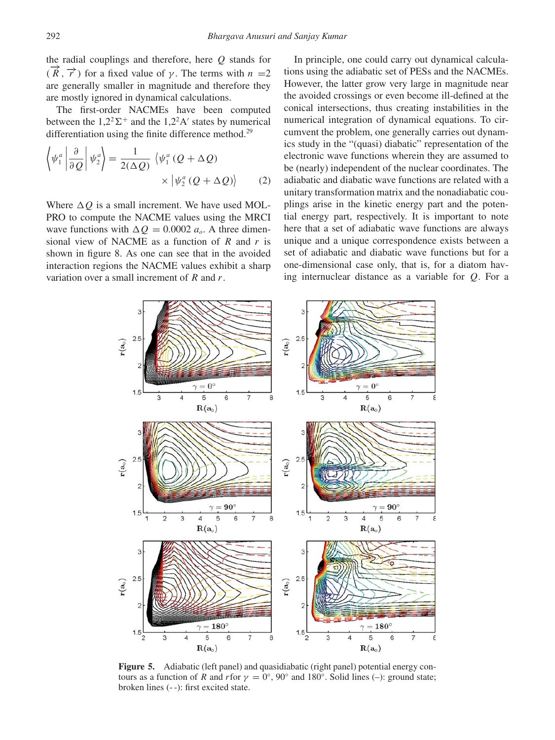the radial couplings and therefore, here *Q* stands for  $(\vec{R}, \vec{r})$  for a fixed value of *γ*. The terms with  $n =2$ are generally smaller in magnitude and therefore they are mostly ignored in dynamical calculations.

The first-order NACMEs have been computed between the  $1,2^2\Sigma^+$  and the 1,2<sup>2</sup>A' states by numerical differentiation using the finite difference method.<sup>29</sup>

$$
\left\langle \psi_1^a \left| \frac{\partial}{\partial Q} \right| \psi_2^a \right\rangle = \frac{1}{2(\Delta Q)} \left\langle \psi_1^a (Q + \Delta Q) \right\rangle \times \left| \psi_2^a (Q + \Delta Q) \right\rangle \tag{2}
$$

Where  $\Delta Q$  is a small increment. We have used MOL-PRO to compute the NACME values using the MRCI wave functions with  $\Delta Q = 0.0002 a_o$ . A three dimensional view of NACME as a function of *R* and *r* is shown in figure 8. As one can see that in the avoided interaction regions the NACME values exhibit a sharp variation over a small increment of *R* and *r*.

In principle, one could carry out dynamical calculations using the adiabatic set of PESs and the NACMEs. However, the latter grow very large in magnitude near the avoided crossings or even become ill-defined at the conical intersections, thus creating instabilities in the numerical integration of dynamical equations. To circumvent the problem, one generally carries out dynamics study in the "(quasi) diabatic" representation of the electronic wave functions wherein they are assumed to be (nearly) independent of the nuclear coordinates. The adiabatic and diabatic wave functions are related with a unitary transformation matrix and the nonadiabatic couplings arise in the kinetic energy part and the potential energy part, respectively. It is important to note here that a set of adiabatic wave functions are always unique and a unique correspondence exists between a set of adiabatic and diabatic wave functions but for a one-dimensional case only, that is, for a diatom having internuclear distance as a variable for *Q*. For a



**Figure 5.** Adiabatic (left panel) and quasidiabatic (right panel) potential energy contours as a function of *R* and *r* for  $\gamma = 0^\circ$ , 90° and 180°. Solid lines (–): ground state; broken lines (- -): first excited state.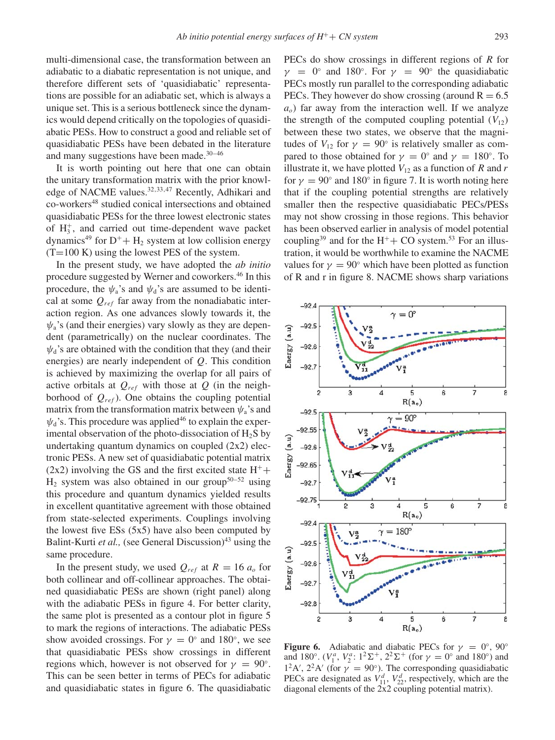multi-dimensional case, the transformation between an adiabatic to a diabatic representation is not unique, and therefore different sets of 'quasidiabatic' representations are possible for an adiabatic set, which is always a unique set. This is a serious bottleneck since the dynamics would depend critically on the topologies of quasidiabatic PESs. How to construct a good and reliable set of quasidiabatic PESs have been debated in the literature and many suggestions have been made.<sup>30-46</sup>

It is worth pointing out here that one can obtain the unitary transformation matrix with the prior knowledge of NACME values.<sup>32,33,47</sup> Recently, Adhikari and co-workers<sup>48</sup> studied conical intersections and obtained quasidiabatic PESs for the three lowest electronic states of  $H_3^+$ , and carried out time-dependent wave packet dynamics<sup>49</sup> for  $D^+$ + H<sub>2</sub> system at low collision energy  $(T=100 \text{ K})$  using the lowest PES of the system.

In the present study, we have adopted the *ab initio* procedure suggested by Werner and coworkers.46 In this procedure, the  $\psi_a$ 's and  $\psi_d$ 's are assumed to be identical at some  $Q_{ref}$  far away from the nonadiabatic interaction region. As one advances slowly towards it, the  $\psi$ <sub>a</sub>'s (and their energies) vary slowly as they are dependent (parametrically) on the nuclear coordinates. The  $\psi_d$ 's are obtained with the condition that they (and their energies) are nearly independent of *Q*. This condition is achieved by maximizing the overlap for all pairs of active orbitals at  $Q_{ref}$  with those at  $Q$  (in the neighborhood of  $Q_{ref}$ ). One obtains the coupling potential matrix from the transformation matrix between  $\psi_a$ 's and  $\psi_d$ 's. This procedure was applied<sup>46</sup> to explain the experimental observation of the photo-dissociation of  $H_2S$  by undertaking quantum dynamics on coupled (2x2) electronic PESs. A new set of quasidiabatic potential matrix (2x2) involving the GS and the first excited state  $H^+$ +  $H_2$  system was also obtained in our group<sup>50–52</sup> using this procedure and quantum dynamics yielded results in excellent quantitative agreement with those obtained from state-selected experiments. Couplings involving the lowest five  $ESs$  (5x5) have also been computed by Balint-Kurti *et al.*, (see General Discussion)<sup>43</sup> using the same procedure.

In the present study, we used  $Q_{ref}$  at  $R = 16 a_o$  for both collinear and off-collinear approaches. The obtained quasidiabatic PESs are shown (right panel) along with the adiabatic PESs in figure 4. For better clarity, the same plot is presented as a contour plot in figure 5 to mark the regions of interactions. The adiabatic PESs show avoided crossings. For  $\gamma = 0^\circ$  and 180°, we see that quasidiabatic PESs show crossings in different regions which, however is not observed for  $\gamma = 90^\circ$ . This can be seen better in terms of PECs for adiabatic and quasidiabatic states in figure 6. The quasidiabatic PECs do show crossings in different regions of *R* for  $\gamma = 0$ ° and 180°. For  $\gamma = 90$ ° the quasidiabatic PECs mostly run parallel to the corresponding adiabatic PECs. They however do show crossing (around  $R = 6.5$ )  $a<sub>o</sub>$ ) far away from the interaction well. If we analyze the strength of the computed coupling potential  $(V_{12})$ between these two states, we observe that the magnitudes of  $V_{12}$  for  $\gamma = 90^\circ$  is relatively smaller as compared to those obtained for  $\gamma = 0^\circ$  and  $\gamma = 180^\circ$ . To illustrate it, we have plotted  $V_{12}$  as a function of *R* and *r* for  $\gamma = 90^\circ$  and 180° in figure 7. It is worth noting here that if the coupling potential strengths are relatively smaller then the respective quasidiabatic PECs/PESs may not show crossing in those regions. This behavior has been observed earlier in analysis of model potential coupling<sup>39</sup> and for the H<sup>+</sup>+ CO system.<sup>53</sup> For an illustration, it would be worthwhile to examine the NACME values for  $\gamma = 90^\circ$  which have been plotted as function of R and r in figure 8. NACME shows sharp variations



**Figure 6.** Adiabatic and diabatic PECs for  $\gamma = 0^\circ$ , 90° and 180°.  $(V_1^a, V_2^a: 1^2\Sigma^+, 2^2\Sigma^+$  (for  $\gamma = 0^\circ$  and 180°) and  $1<sup>2</sup>A'$ ,  $2<sup>2</sup>A'$  (for  $\gamma = 90^{\circ}$ ). The corresponding quasidiabatic PECs are designated as  $V_{11}^d$ ,  $V_{22}^d$ , respectively, which are the diagonal elements of the 2x2 coupling potential matrix).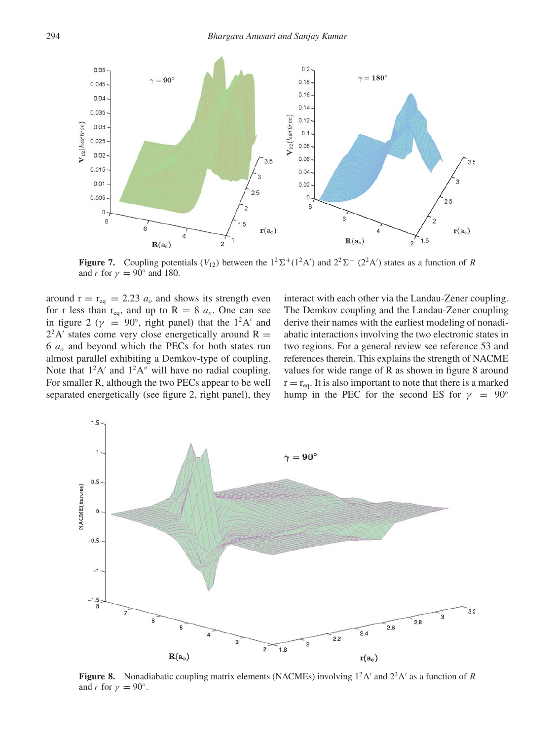

**Figure 7.** Coupling potentials  $(V_{12})$  between the  $1^2\Sigma^+(1^2A')$  and  $2^2\Sigma^+(2^2A')$  states as a function of *R* and *r* for  $\gamma = 90^\circ$  and 180.

around  $r = r_{eq} = 2.23 a_o$  and shows its strength even for r less than  $r_{eq}$ , and up to  $R = 8$   $a_o$ . One can see in figure 2 ( $\gamma$  = 90°, right panel) that the 1<sup>2</sup>A' and  $2^2A'$  states come very close energetically around R = 6 *ao* and beyond which the PECs for both states run almost parallel exhibiting a Demkov-type of coupling. Note that  $1^2A'$  and  $1^2A''$  will have no radial coupling. For smaller R, although the two PECs appear to be well separated energetically (see figure 2, right panel), they

interact with each other via the Landau-Zener coupling. The Demkov coupling and the Landau-Zener coupling derive their names with the earliest modeling of nonadiabatic interactions involving the two electronic states in two regions. For a general review see reference 53 and references therein. This explains the strength of NACME values for wide range of R as shown in figure 8 around  $r = r_{eq}$ . It is also important to note that there is a marked hump in the PEC for the second ES for  $\gamma = 90^\circ$ 



**Figure 8.** Nonadiabatic coupling matrix elements (NACMEs) involving  $1^2A'$  and  $2^2A'$  as a function of *R* and *r* for  $\gamma = 90^\circ$ .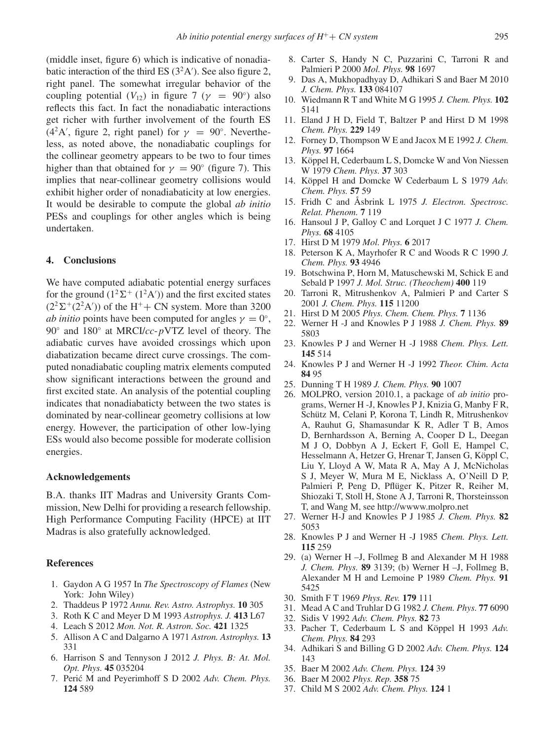(middle inset, figure 6) which is indicative of nonadiabatic interaction of the third ES  $(3<sup>2</sup>A')$ . See also figure 2, right panel. The somewhat irregular behavior of the coupling potential  $(V_{12})$  in figure 7 ( $\gamma = 90^{\circ}$ ) also reflects this fact. In fact the nonadiabatic interactions get richer with further involvement of the fourth ES (4<sup>2</sup>A', figure 2, right panel) for  $\gamma = 90^\circ$ . Nevertheless, as noted above, the nonadiabatic couplings for the collinear geometry appears to be two to four times higher than that obtained for  $\gamma = 90^\circ$  (figure 7). This implies that near-collinear geometry collisions would exhibit higher order of nonadiabaticity at low energies. It would be desirable to compute the global *ab initio* PESs and couplings for other angles which is being undertaken.

#### **4. Conclusions**

We have computed adiabatic potential energy surfaces for the ground  $(1^2\Sigma^+(1^2A'))$  and the first excited states  $(2^2\Sigma^+(2^2A'))$  of the H<sup>+</sup>+ CN system. More than 3200 *ab initio* points have been computed for angles  $\gamma = 0^\circ$ , 90◦ and 180◦ at MRCI/*cc*-*p*VTZ level of theory. The adiabatic curves have avoided crossings which upon diabatization became direct curve crossings. The computed nonadiabatic coupling matrix elements computed show significant interactions between the ground and first excited state. An analysis of the potential coupling indicates that nonadiabaticty between the two states is dominated by near-collinear geometry collisions at low energy. However, the participation of other low-lying ESs would also become possible for moderate collision energies.

### **Acknowledgements**

B.A. thanks IIT Madras and University Grants Commission, New Delhi for providing a research fellowship. High Performance Computing Facility (HPCE) at IIT Madras is also gratefully acknowledged.

#### **References**

- 1. Gaydon A G 1957 In *The Spectroscopy of Flames* (New York: John Wiley)
- 2. Thaddeus P 1972 *Annu. Rev. Astro. Astrophys.* **10** 305
- 3. Roth K C and Meyer D M 1993 *Astrophys. J.* **413** L67
- 4. Leach S 2012 *Mon. Not. R. Astron. Soc.* **421** 1325
- 5. Allison A C and Dalgarno A 1971 *Astron. Astrophys.* **13** 331
- 6. Harrison S and Tennyson J 2012 *J. Phys. B: At. Mol. Opt. Phys.* **45** 035204
- 7. Perić M and Peyerimhoff S D 2002 Adv. Chem. Phys. **124** 589
- 8. Carter S, Handy N C, Puzzarini C, Tarroni R and Palmieri P 2000 *Mol. Phys.* **98** 1697
- 9. Das A, Mukhopadhyay D, Adhikari S and Baer M 2010 *J. Chem. Phys.* **133** 084107
- 10. Wiedmann R T and White M G 1995 *J. Chem. Phys.* **102** 5141
- 11. Eland J H D, Field T, Baltzer P and Hirst D M 1998 *Chem. Phys.* **229** 149
- 12. Forney D, Thompson W E and Jacox M E 1992 *J. Chem. Phys.* **97** 1664
- 13. Köppel H, Cederbaum L S, Domcke W and Von Niessen W 1979 *Chem. Phys.* **37** 303
- 14. Köppel H and Domcke W Cederbaum L S 1979 *Adv. Chem. Phys.* **57** 59
- 15. Fridh C and Åsbrink L 1975 *J. Electron. Spectrosc. Relat. Phenom.* **7** 119
- 16. Hansoul J P, Galloy C and Lorquet J C 1977 *J. Chem. Phys.* **68** 4105
- 17. Hirst D M 1979 *Mol. Phys.* **6** 2017
- 18. Peterson K A, Mayrhofer R C and Woods R C 1990 *J. Chem. Phys.* **93** 4946
- 19. Botschwina P, Horn M, Matuschewski M, Schick E and Sebald P 1997 *J. Mol. Struc. (Theochem)* **400** 119
- 20. Tarroni R, Mitrushenkov A, Palmieri P and Carter S 2001 *J. Chem. Phys.* **115** 11200
- 21. Hirst D M 2005 *Phys. Chem. Chem. Phys.* **7** 1136
- 22. Werner H -J and Knowles P J 1988 *J. Chem. Phys.* **89** 5803
- 23. Knowles P J and Werner H -J 1988 *Chem. Phys. Lett.* **145** 514
- 24. Knowles P J and Werner H -J 1992 *Theor. Chim. Acta* **84** 95
- 25. Dunning T H 1989 *J. Chem. Phys.* **90** 1007
- 26. MOLPRO, version 2010.1, a package of *ab initio* programs, Werner H -J, Knowles P J, Knizia G, Manby F R, Schütz M, Celani P, Korona T, Lindh R, Mitrushenkov A, Rauhut G, Shamasundar K R, Adler T B, Amos D, Bernhardsson A, Berning A, Cooper D L, Deegan M J O, Dobbyn A J, Eckert F, Goll E, Hampel C, Hesselmann A, Hetzer G, Hrenar T, Jansen G, Köppl C, Liu Y, Lloyd A W, Mata R A, May A J, McNicholas S J, Meyer W, Mura M E, Nicklass A, O'Neill D P, Palmieri P, Peng D, Pflüger K, Pitzer R, Reiher M, Shiozaki T, Stoll H, Stone A J, Tarroni R, Thorsteinsson T, and Wang M, see http://wwww.molpro.net
- 27. Werner H-J and Knowles P J 1985 *J. Chem. Phys.* **82** 5053
- 28. Knowles P J and Werner H -J 1985 *Chem. Phys. Lett.* **115** 259
- 29. (a) Werner H –J, Follmeg B and Alexander M H 1988 *J. Chem. Phys.* **89** 3139; (b) Werner H –J, Follmeg B, Alexander M H and Lemoine P 1989 *Chem. Phys.* **91** 5425
- 30. Smith F T 1969 *Phys. Rev.* **179** 111
- 31. Mead A C and Truhlar D G 1982 *J. Chem. Phys.* **77** 6090
- 32. Sidis V 1992 *Adv. Chem. Phys.* **82** 73
- 33. Pacher T, Cederbaum L S and Köppel H 1993 *Adv. Chem. Phys.* **84** 293
- 34. Adhikari S and Billing G D 2002 *Adv. Chem. Phys.* **124** 143
- 35. Baer M 2002 *Adv. Chem. Phys.* **124** 39
- 36. Baer M 2002 *Phys. Rep.* **358** 75
- 37. Child M S 2002 *Adv. Chem. Phys.* **124** 1